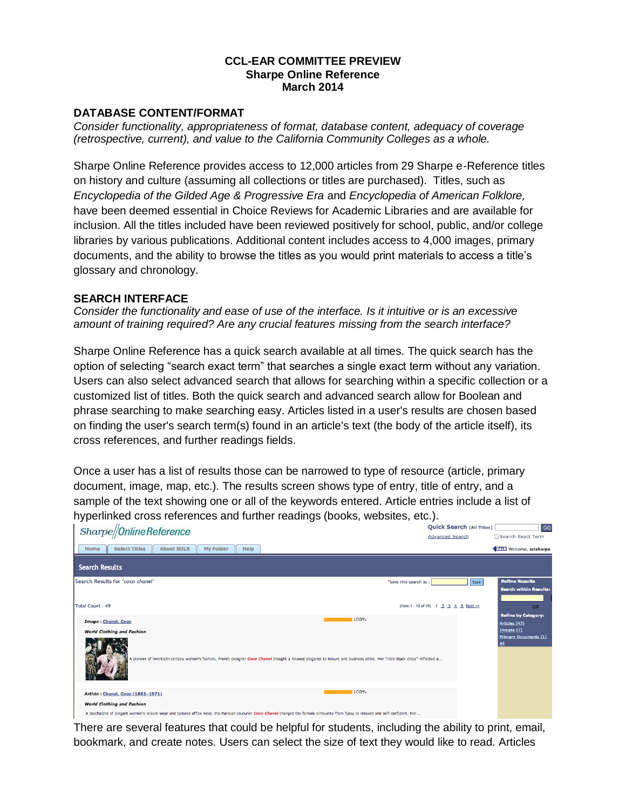#### **CCL-EAR COMMITTEE PREVIEW Sharpe Online Reference March 2014**

### **DATABASE CONTENT/FORMAT**

*Consider functionality, appropriateness of format, database content, adequacy of coverage (retrospective, current), and value to the California Community Colleges as a whole.*

Sharpe Online Reference provides access to 12,000 articles from 29 Sharpe e-Reference titles on history and culture (assuming all collections or titles are purchased). Titles, such as *Encyclopedia of the Gilded Age & Progressive Era* and *Encyclopedia of American Folklore,* have been deemed essential in Choice Reviews for Academic Libraries and are available for inclusion. All the titles included have been reviewed positively for school, public, and/or college libraries by various publications. Additional content includes access to 4,000 images, primary documents, and the ability to browse the titles as you would print materials to access a title's glossary and chronology.

#### **SEARCH INTERFACE**

*Consider the functionality and ease of use of the interface. Is it intuitive or is an excessive amount of training required? Are any crucial features missing from the search interface?*

Sharpe Online Reference has a quick search available at all times. The quick search has the option of selecting "search exact term" that searches a single exact term without any variation. Users can also select advanced search that allows for searching within a specific collection or a customized list of titles. Both the quick search and advanced search allow for Boolean and phrase searching to make searching easy. Articles listed in a user's results are chosen based on finding the user's search term(s) found in an article's text (the body of the article itself), its cross references, and further readings fields.

Once a user has a list of results those can be narrowed to type of resource (article, primary document, image, map, etc.). The results screen shows type of entry, title of entry, and a sample of the text showing one or all of the keywords entered. Article entries include a list of hyperlinked cross references and further readings (books, websites, etc.).

| Sharpe//Online Reference                                                                                                                                                                                                   | <b>QUICK SECTED</b> (All Titles)      | ျဖပ                                                    |
|----------------------------------------------------------------------------------------------------------------------------------------------------------------------------------------------------------------------------|---------------------------------------|--------------------------------------------------------|
|                                                                                                                                                                                                                            | <b>Advanced Search</b>                | Search Exact Term                                      |
| <b>Select Titles</b><br><b>About SOLR</b><br>My Folder<br>Help<br>Home                                                                                                                                                     |                                       | <b>BEDE</b> Welcome, ccisharpe                         |
| <b>Search Results</b>                                                                                                                                                                                                      |                                       |                                                        |
| Search Results for 'coco chanel'<br>*Save this search as :                                                                                                                                                                 | Save                                  | <b>Refine Results</b><br><b>Search within Results:</b> |
| <b>Total Count - 49</b>                                                                                                                                                                                                    | (Item 1 - 10 of 49) 1 2 3 4 5 Next >> | <b>OR</b><br><b>Refine by Category:</b>                |
| 100%<br>Image : Chanel, Coco                                                                                                                                                                                               |                                       | Articles (47)<br>Images (1)                            |
| <b>World Clothing and Fashion</b><br>A pioneer of twentieth-century women's fashion, French designer Coco Chanel brought a relaxed elegance to leisure and business attire. Her "little black dress" reflected a           |                                       | <b>Primary Documents (1)</b><br>ALI                    |
| 100%<br>Article: Chanel, Coco (1883-1971)                                                                                                                                                                                  |                                       |                                                        |
| <b>World Clothing and Fashion</b><br>A touchstone of elegant women's leisure wear and tailored office wear, the Parisian couturier Coco Chanel changed the female silhouette from fussy to relaxed and self-confident. Her |                                       |                                                        |

There are several features that could be helpful for students, including the ability to print, email, bookmark, and create notes. Users can select the size of text they would like to read. Articles